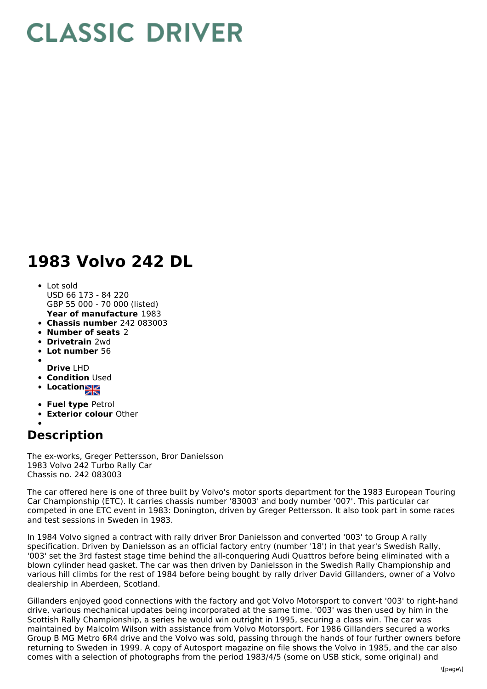## **CLASSIC DRIVER**

## **1983 Volvo 242 DL**

- **Year of manufacture** 1983 Lot sold USD 66 173 - 84 220 GBP 55 000 - 70 000 (listed)
- **Chassis number** 242 083003
- **Number of seats** 2
- **Drivetrain** 2wd
- **Lot number** 56
- 
- **Drive** LHD
- **Condition Used**
- **Location**
- **Fuel type** Petrol
- **Exterior colour** Other
- 

## **Description**

The ex-works, Greger Pettersson, Bror Danielsson 1983 Volvo 242 Turbo Rally Car Chassis no. 242 083003

The car offered here is one of three built by Volvo's motor sports department for the 1983 European Touring Car Championship (ETC). It carries chassis number '83003' and body number '007'. This particular car competed in one ETC event in 1983: Donington, driven by Greger Pettersson. It also took part in some races and test sessions in Sweden in 1983.

In 1984 Volvo signed a contract with rally driver Bror Danielsson and converted '003' to Group A rally specification. Driven by Danielsson as an official factory entry (number '18') in that year's Swedish Rally, '003' set the 3rd fastest stage time behind the all-conquering Audi Quattros before being eliminated with a blown cylinder head gasket. The car was then driven by Danielsson in the Swedish Rally Championship and various hill climbs for the rest of 1984 before being bought by rally driver David Gillanders, owner of a Volvo dealership in Aberdeen, Scotland.

Gillanders enjoyed good connections with the factory and got Volvo Motorsport to convert '003' to right-hand drive, various mechanical updates being incorporated at the same time. '003' was then used by him in the Scottish Rally Championship, a series he would win outright in 1995, securing a class win. The car was maintained by Malcolm Wilson with assistance from Volvo Motorsport. For 1986 Gillanders secured a works Group B MG Metro 6R4 drive and the Volvo was sold, passing through the hands of four further owners before returning to Sweden in 1999. A copy of Autosport magazine on file shows the Volvo in 1985, and the car also comes with a selection of photographs from the period 1983/4/5 (some on USB stick, some original) and